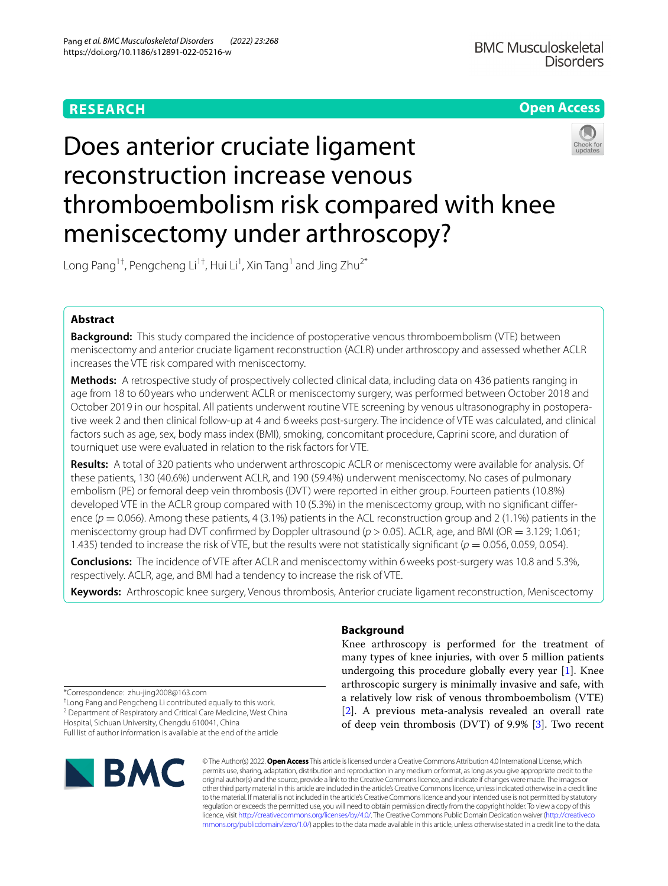# **RESEARCH**

# **Open Access**

# Does anterior cruciate ligament reconstruction increase venous thromboembolism risk compared with knee meniscectomy under arthroscopy?

Long Pang $^{1\dagger}$ , Pengcheng Li $^{1\dagger}$ , Hui Li $^{1}$ , Xin Tang $^{1}$  and Jing Zhu $^{2^\ast}$ 

# **Abstract**

**Background:** This study compared the incidence of postoperative venous thromboembolism (VTE) between meniscectomy and anterior cruciate ligament reconstruction (ACLR) under arthroscopy and assessed whether ACLR increases the VTE risk compared with meniscectomy.

**Methods:** A retrospective study of prospectively collected clinical data, including data on 436 patients ranging in age from 18 to 60 years who underwent ACLR or meniscectomy surgery, was performed between October 2018 and October 2019 in our hospital. All patients underwent routine VTE screening by venous ultrasonography in postoperative week 2 and then clinical follow-up at 4 and 6weeks post-surgery. The incidence of VTE was calculated, and clinical factors such as age, sex, body mass index (BMI), smoking, concomitant procedure, Caprini score, and duration of tourniquet use were evaluated in relation to the risk factors for VTE.

**Results:** A total of 320 patients who underwent arthroscopic ACLR or meniscectomy were available for analysis. Of these patients, 130 (40.6%) underwent ACLR, and 190 (59.4%) underwent meniscectomy. No cases of pulmonary embolism (PE) or femoral deep vein thrombosis (DVT) were reported in either group. Fourteen patients (10.8%) developed VTE in the ACLR group compared with 10 (5.3%) in the meniscectomy group, with no signifcant diference ( $p = 0.066$ ). Among these patients, 4 (3.1%) patients in the ACL reconstruction group and 2 (1.1%) patients in the meniscectomy group had DVT confrmed by Doppler ultrasound (*p* > 0.05). ACLR, age, and BMI (OR = 3.129; 1.061; 1.435) tended to increase the risk of VTE, but the results were not statistically significant ( $p = 0.056$ , 0.059, 0.054).

**Conclusions:** The incidence of VTE after ACLR and meniscectomy within 6weeks post-surgery was 10.8 and 5.3%, respectively. ACLR, age, and BMI had a tendency to increase the risk of VTE.

**Keywords:** Arthroscopic knee surgery, Venous thrombosis, Anterior cruciate ligament reconstruction, Meniscectomy

# **Background**

Knee arthroscopy is performed for the treatment of many types of knee injuries, with over 5 million patients undergoing this procedure globally every year [[1\]](#page-6-0). Knee arthroscopic surgery is minimally invasive and safe, with a relatively low risk of venous thromboembolism (VTE) [[2\]](#page-6-1). A previous meta-analysis revealed an overall rate of deep vein thrombosis (DVT) of 9.9% [[3\]](#page-6-2). Two recent

\*Correspondence: zhu-jing2008@163.com

† Long Pang and Pengcheng Li contributed equally to this work. <sup>2</sup> Department of Respiratory and Critical Care Medicine, West China

Hospital, Sichuan University, Chengdu 610041, China

Full list of author information is available at the end of the article



© The Author(s) 2022. **Open Access** This article is licensed under a Creative Commons Attribution 4.0 International License, which permits use, sharing, adaptation, distribution and reproduction in any medium or format, as long as you give appropriate credit to the original author(s) and the source, provide a link to the Creative Commons licence, and indicate if changes were made. The images or other third party material in this article are included in the article's Creative Commons licence, unless indicated otherwise in a credit line to the material. If material is not included in the article's Creative Commons licence and your intended use is not permitted by statutory regulation or exceeds the permitted use, you will need to obtain permission directly from the copyright holder. To view a copy of this licence, visit [http://creativecommons.org/licenses/by/4.0/.](http://creativecommons.org/licenses/by/4.0/) The Creative Commons Public Domain Dedication waiver ([http://creativeco](http://creativecommons.org/publicdomain/zero/1.0/) [mmons.org/publicdomain/zero/1.0/](http://creativecommons.org/publicdomain/zero/1.0/)) applies to the data made available in this article, unless otherwise stated in a credit line to the data.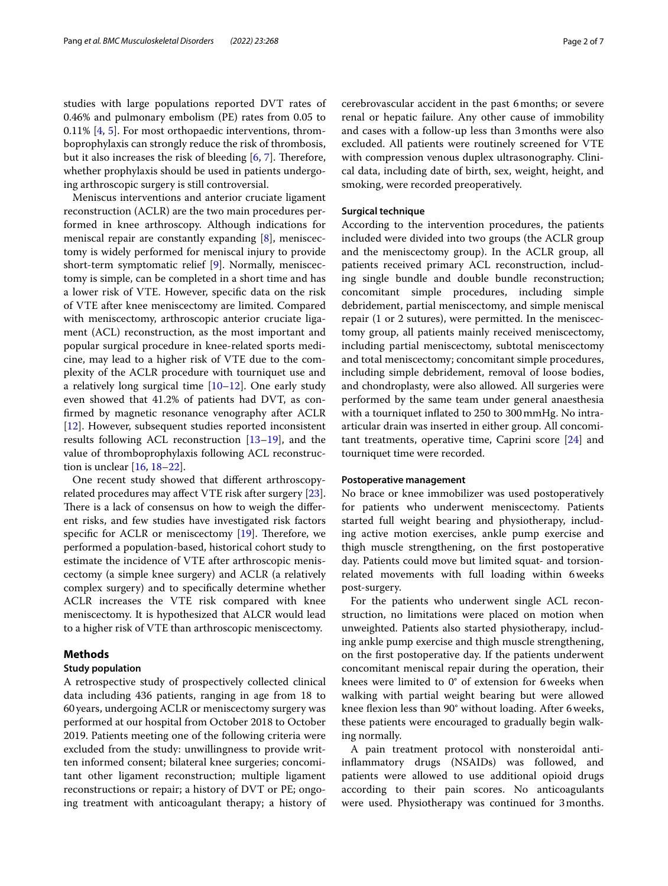studies with large populations reported DVT rates of 0.46% and pulmonary embolism (PE) rates from 0.05 to 0.11% [[4](#page-6-3), [5](#page-6-4)]. For most orthopaedic interventions, thromboprophylaxis can strongly reduce the risk of thrombosis, but it also increases the risk of bleeding  $[6, 7]$  $[6, 7]$  $[6, 7]$  $[6, 7]$ . Therefore, whether prophylaxis should be used in patients undergoing arthroscopic surgery is still controversial.

Meniscus interventions and anterior cruciate ligament reconstruction (ACLR) are the two main procedures performed in knee arthroscopy. Although indications for meniscal repair are constantly expanding [\[8](#page-6-7)], meniscectomy is widely performed for meniscal injury to provide short-term symptomatic relief [\[9](#page-6-8)]. Normally, meniscectomy is simple, can be completed in a short time and has a lower risk of VTE. However, specifc data on the risk of VTE after knee meniscectomy are limited. Compared with meniscectomy, arthroscopic anterior cruciate ligament (ACL) reconstruction, as the most important and popular surgical procedure in knee-related sports medicine, may lead to a higher risk of VTE due to the complexity of the ACLR procedure with tourniquet use and a relatively long surgical time  $[10-12]$  $[10-12]$  $[10-12]$ . One early study even showed that 41.2% of patients had DVT, as confrmed by magnetic resonance venography after ACLR [[12\]](#page-6-10). However, subsequent studies reported inconsistent results following ACL reconstruction [\[13](#page-6-11)[–19](#page-6-12)], and the value of thromboprophylaxis following ACL reconstruction is unclear [\[16](#page-6-13), [18](#page-6-14)[–22](#page-6-15)].

One recent study showed that diferent arthroscopyrelated procedures may afect VTE risk after surgery [\[23](#page-6-16)]. There is a lack of consensus on how to weigh the different risks, and few studies have investigated risk factors specific for ACLR or meniscectomy  $[19]$  $[19]$ . Therefore, we performed a population-based, historical cohort study to estimate the incidence of VTE after arthroscopic meniscectomy (a simple knee surgery) and ACLR (a relatively complex surgery) and to specifcally determine whether ACLR increases the VTE risk compared with knee meniscectomy. It is hypothesized that ALCR would lead to a higher risk of VTE than arthroscopic meniscectomy.

#### **Methods**

#### **Study population**

A retrospective study of prospectively collected clinical data including 436 patients, ranging in age from 18 to 60years, undergoing ACLR or meniscectomy surgery was performed at our hospital from October 2018 to October 2019. Patients meeting one of the following criteria were excluded from the study: unwillingness to provide written informed consent; bilateral knee surgeries; concomitant other ligament reconstruction; multiple ligament reconstructions or repair; a history of DVT or PE; ongoing treatment with anticoagulant therapy; a history of cerebrovascular accident in the past 6months; or severe renal or hepatic failure. Any other cause of immobility and cases with a follow-up less than 3months were also excluded. All patients were routinely screened for VTE with compression venous duplex ultrasonography. Clinical data, including date of birth, sex, weight, height, and smoking, were recorded preoperatively.

### **Surgical technique**

According to the intervention procedures, the patients included were divided into two groups (the ACLR group and the meniscectomy group). In the ACLR group, all patients received primary ACL reconstruction, including single bundle and double bundle reconstruction; concomitant simple procedures, including simple debridement, partial meniscectomy, and simple meniscal repair (1 or 2 sutures), were permitted. In the meniscectomy group, all patients mainly received meniscectomy, including partial meniscectomy, subtotal meniscectomy and total meniscectomy; concomitant simple procedures, including simple debridement, removal of loose bodies, and chondroplasty, were also allowed. All surgeries were performed by the same team under general anaesthesia with a tourniquet infated to 250 to 300mmHg. No intraarticular drain was inserted in either group. All concomitant treatments, operative time, Caprini score [\[24](#page-6-17)] and tourniquet time were recorded.

#### **Postoperative management**

No brace or knee immobilizer was used postoperatively for patients who underwent meniscectomy. Patients started full weight bearing and physiotherapy, including active motion exercises, ankle pump exercise and thigh muscle strengthening, on the frst postoperative day. Patients could move but limited squat- and torsionrelated movements with full loading within 6weeks post-surgery.

For the patients who underwent single ACL reconstruction, no limitations were placed on motion when unweighted. Patients also started physiotherapy, including ankle pump exercise and thigh muscle strengthening, on the frst postoperative day. If the patients underwent concomitant meniscal repair during the operation, their knees were limited to 0° of extension for 6weeks when walking with partial weight bearing but were allowed knee flexion less than 90° without loading. After 6 weeks, these patients were encouraged to gradually begin walking normally.

A pain treatment protocol with nonsteroidal antiinfammatory drugs (NSAIDs) was followed, and patients were allowed to use additional opioid drugs according to their pain scores. No anticoagulants were used. Physiotherapy was continued for 3months.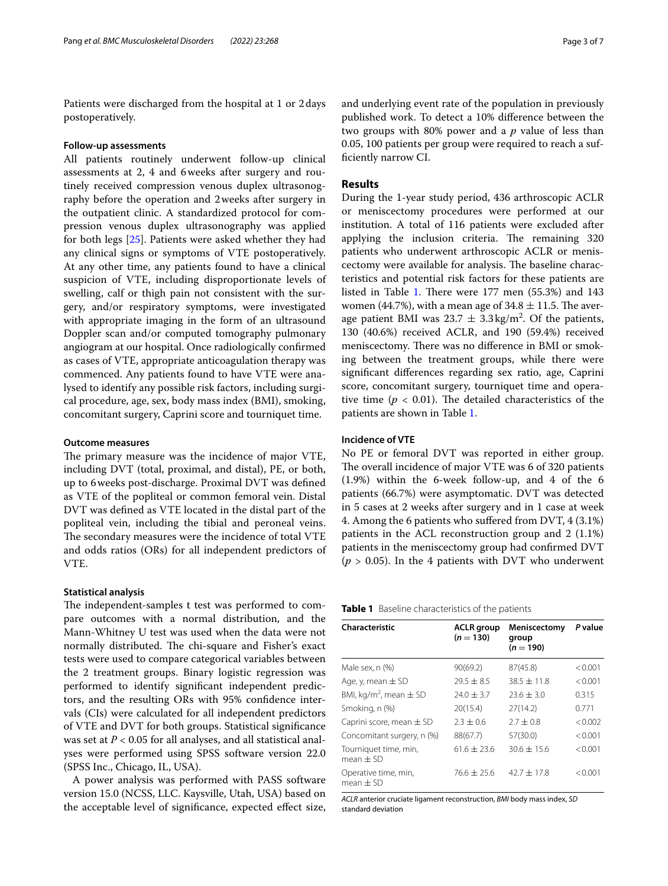Patients were discharged from the hospital at 1 or 2days postoperatively.

#### **Follow‑up assessments**

All patients routinely underwent follow-up clinical assessments at 2, 4 and 6weeks after surgery and routinely received compression venous duplex ultrasonography before the operation and 2weeks after surgery in the outpatient clinic. A standardized protocol for compression venous duplex ultrasonography was applied for both legs [\[25](#page-6-18)]. Patients were asked whether they had any clinical signs or symptoms of VTE postoperatively. At any other time, any patients found to have a clinical suspicion of VTE, including disproportionate levels of swelling, calf or thigh pain not consistent with the surgery, and/or respiratory symptoms, were investigated with appropriate imaging in the form of an ultrasound Doppler scan and/or computed tomography pulmonary angiogram at our hospital. Once radiologically confrmed as cases of VTE, appropriate anticoagulation therapy was commenced. Any patients found to have VTE were analysed to identify any possible risk factors, including surgical procedure, age, sex, body mass index (BMI), smoking, concomitant surgery, Caprini score and tourniquet time.

#### **Outcome measures**

The primary measure was the incidence of major VTE, including DVT (total, proximal, and distal), PE, or both, up to 6weeks post-discharge. Proximal DVT was defned as VTE of the popliteal or common femoral vein. Distal DVT was defned as VTE located in the distal part of the popliteal vein, including the tibial and peroneal veins. The secondary measures were the incidence of total VTE and odds ratios (ORs) for all independent predictors of VTE.

#### **Statistical analysis**

The independent-samples t test was performed to compare outcomes with a normal distribution, and the Mann-Whitney U test was used when the data were not normally distributed. The chi-square and Fisher's exact tests were used to compare categorical variables between the 2 treatment groups. Binary logistic regression was performed to identify signifcant independent predictors, and the resulting ORs with 95% confdence intervals (CIs) were calculated for all independent predictors of VTE and DVT for both groups. Statistical signifcance was set at *P* < 0.05 for all analyses, and all statistical analyses were performed using SPSS software version 22.0 (SPSS Inc., Chicago, IL, USA).

A power analysis was performed with PASS software version 15.0 (NCSS, LLC. Kaysville, Utah, USA) based on the acceptable level of signifcance, expected efect size, and underlying event rate of the population in previously published work. To detect a 10% diference between the two groups with 80% power and a *p* value of less than 0.05, 100 patients per group were required to reach a suffciently narrow CI.

#### **Results**

During the 1-year study period, 436 arthroscopic ACLR or meniscectomy procedures were performed at our institution. A total of 116 patients were excluded after applying the inclusion criteria. The remaining 320 patients who underwent arthroscopic ACLR or meniscectomy were available for analysis. The baseline characteristics and potential risk factors for these patients are listed in Table [1](#page-2-0). There were  $177$  men (55.3%) and  $143$ women (44.7%), with a mean age of  $34.8 \pm 11.5$ . The average patient BMI was  $23.7 \pm 3.3 \text{ kg/m}^2$ . Of the patients, 130 (40.6%) received ACLR, and 190 (59.4%) received meniscectomy. There was no difference in BMI or smoking between the treatment groups, while there were signifcant diferences regarding sex ratio, age, Caprini score, concomitant surgery, tourniquet time and operative time ( $p < 0.01$ ). The detailed characteristics of the patients are shown in Table [1](#page-2-0).

### **Incidence of VTE**

No PE or femoral DVT was reported in either group. The overall incidence of major VTE was 6 of 320 patients (1.9%) within the 6-week follow-up, and 4 of the 6 patients (66.7%) were asymptomatic. DVT was detected in 5 cases at 2 weeks after surgery and in 1 case at week 4. Among the 6 patients who sufered from DVT, 4 (3.1%) patients in the ACL reconstruction group and 2 (1.1%) patients in the meniscectomy group had confrmed DVT  $(p > 0.05)$ . In the 4 patients with DVT who underwent

<span id="page-2-0"></span>

| <b>Table 1</b> Baseline characteristics of the patients |  |
|---------------------------------------------------------|--|
|---------------------------------------------------------|--|

| Characteristic                         | <b>ACLR</b> group<br>$(n = 130)$ | Meniscectomy<br>group<br>$(n = 190)$ | P value |  |
|----------------------------------------|----------------------------------|--------------------------------------|---------|--|
| Male sex, n (%)                        | 90(69.2)                         | 87(45.8)                             | < 0.001 |  |
| Age, y, mean $\pm$ SD                  | $79.5 + 8.5$                     | $38.5 + 11.8$                        | < 0.001 |  |
| BMI, kg/m <sup>2</sup> , mean $\pm$ SD | $24.0 \pm 3.7$                   | $23.6 \pm 3.0$                       | 0.315   |  |
| Smoking, n (%)                         | 20(15.4)                         | 27(14.2)                             | 0.771   |  |
| Caprini score, mean $\pm$ SD           | $2.3 \pm 0.6$                    | $2.7 + 0.8$                          | < 0.002 |  |
| Concomitant surgery, n (%)             | 88(67.7)                         | 57(30.0)                             | < 0.001 |  |
| Tourniquet time, min,<br>mean $\pm$ SD | $61.6 + 23.6$                    | $30.6 \pm 15.6$                      | < 0.001 |  |
| Operative time, min,<br>mean $\pm$ SD  | $76.6 + 25.6$                    | $42.7 \pm 17.8$                      | < 0.001 |  |

*ACLR* anterior cruciate ligament reconstruction, *BMI* body mass index, *SD* standard deviation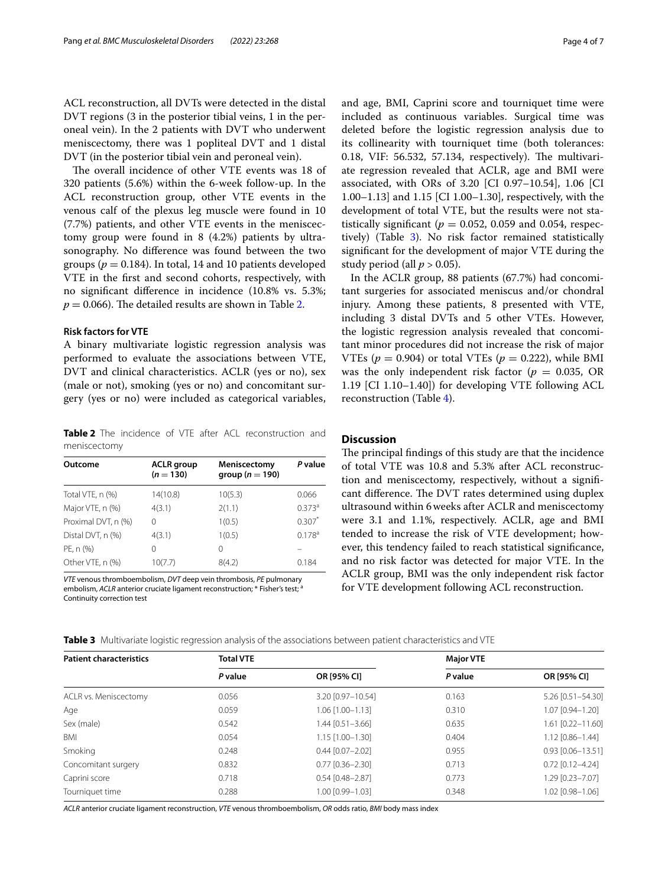ACL reconstruction, all DVTs were detected in the distal DVT regions (3 in the posterior tibial veins, 1 in the peroneal vein). In the 2 patients with DVT who underwent meniscectomy, there was 1 popliteal DVT and 1 distal DVT (in the posterior tibial vein and peroneal vein).

The overall incidence of other VTE events was 18 of 320 patients (5.6%) within the 6-week follow-up. In the ACL reconstruction group, other VTE events in the venous calf of the plexus leg muscle were found in 10 (7.7%) patients, and other VTE events in the meniscectomy group were found in 8 (4.2%) patients by ultrasonography. No diference was found between the two groups ( $p = 0.184$ ). In total, 14 and 10 patients developed VTE in the frst and second cohorts, respectively, with no signifcant diference in incidence (10.8% vs. 5.3%;  $p = 0.066$ ). The detailed results are shown in Table [2.](#page-3-0)

#### **Risk factors for VTE**

A binary multivariate logistic regression analysis was performed to evaluate the associations between VTE, DVT and clinical characteristics. ACLR (yes or no), sex (male or not), smoking (yes or no) and concomitant surgery (yes or no) were included as categorical variables,

<span id="page-3-0"></span>**Table 2** The incidence of VTE after ACL reconstruction and meniscectomy

| Outcome             | <b>ACLR</b> group<br>$(n = 130)$ | Meniscectomy<br>group ( $n = 190$ ) | P value            |
|---------------------|----------------------------------|-------------------------------------|--------------------|
| Total VTE, n (%)    | 14(10.8)                         | 10(5.3)                             | 0.066              |
| Major VTE, n (%)    | 4(3.1)                           | 2(1.1)                              | $0.373^{a}$        |
| Proximal DVT, n (%) | 0                                | 1(0.5)                              | $0.307*$           |
| Distal DVT, n (%)   | 4(3.1)                           | 1(0.5)                              | 0.178 <sup>a</sup> |
| PE, n (%)           | $^{(1)}$                         | 0                                   |                    |
| Other VTE, n (%)    | 10(7.7)                          | 8(4.2)                              | 0.184              |

*VTE* venous thromboembolism, *DVT* deep vein thrombosis, *PE* pulmonary embolism, *ACLR* anterior cruciate ligament reconstruction; \* Fisher's test; i Continuity correction test

and age, BMI, Caprini score and tourniquet time were included as continuous variables. Surgical time was deleted before the logistic regression analysis due to its collinearity with tourniquet time (both tolerances: 0.18, VIF: 56.532, 57.134, respectively). The multivariate regression revealed that ACLR, age and BMI were associated, with ORs of 3.20 [CI 0.97–10.54], 1.06 [CI 1.00–1.13] and 1.15 [CI 1.00–1.30], respectively, with the development of total VTE, but the results were not statistically significant ( $p = 0.052$ , 0.059 and 0.054, respectively) (Table [3\)](#page-3-1). No risk factor remained statistically signifcant for the development of major VTE during the study period (all  $p > 0.05$ ).

In the ACLR group, 88 patients (67.7%) had concomitant surgeries for associated meniscus and/or chondral injury. Among these patients, 8 presented with VTE, including 3 distal DVTs and 5 other VTEs. However, the logistic regression analysis revealed that concomitant minor procedures did not increase the risk of major VTEs  $(p = 0.904)$  or total VTEs  $(p = 0.222)$ , while BMI was the only independent risk factor ( $p = 0.035$ , OR 1.19 [CI 1.10–1.40]) for developing VTE following ACL reconstruction (Table [4](#page-4-0)).

#### **Discussion**

The principal findings of this study are that the incidence of total VTE was 10.8 and 5.3% after ACL reconstruction and meniscectomy, respectively, without a signifcant difference. The DVT rates determined using duplex ultrasound within 6weeks after ACLR and meniscectomy were 3.1 and 1.1%, respectively. ACLR, age and BMI tended to increase the risk of VTE development; however, this tendency failed to reach statistical signifcance, and no risk factor was detected for major VTE. In the ACLR group, BMI was the only independent risk factor for VTE development following ACL reconstruction.

<span id="page-3-1"></span>

| <b>Table 3</b> Multivariate logistic regression analysis of the associations between patient characteristics and VTE |  |  |  |  |  |
|----------------------------------------------------------------------------------------------------------------------|--|--|--|--|--|
|                                                                                                                      |  |  |  |  |  |

| <b>Patient characteristics</b> | <b>Total VTE</b> |                        | <b>Major VTE</b> |                         |  |
|--------------------------------|------------------|------------------------|------------------|-------------------------|--|
|                                | P value          | <b>OR [95% CI]</b>     | P value          | OR [95% CI]             |  |
| ACLR vs. Meniscectomy          | 0.056            | 3.20 [0.97-10.54]      | 0.163            | 5.26 [0.51-54.30]       |  |
| Age                            | 0.059            | $1.06$ $[1.00 - 1.13]$ | 0.310            | 1.07 [0.94-1.20]        |  |
| Sex (male)                     | 0.542            | $1.44$ [0.51-3.66]     | 0.635            | 1.61 [0.22-11.60]       |  |
| BMI                            | 0.054            | $1.15$ $[1.00 - 1.30]$ | 0.404            | 1.12 [0.86-1.44]        |  |
| Smoking                        | 0.248            | $0.44$ $[0.07 - 2.02]$ | 0.955            | $0.93$ $[0.06 - 13.51]$ |  |
| Concomitant surgery            | 0.832            | $0.77$ $[0.36 - 2.30]$ | 0.713            | $0.72$ [0.12-4.24]      |  |
| Caprini score                  | 0.718            | $0.54$ [0.48-2.87]     | 0.773            | 1.29 [0.23-7.07]        |  |
| Tourniquet time                | 0.288            | 1.00 [0.99-1.03]       | 0.348            | 1.02 [0.98-1.06]        |  |

*ACLR* anterior cruciate ligament reconstruction, *VTE* venous thromboembolism, *OR* odds ratio, *BMI* body mass index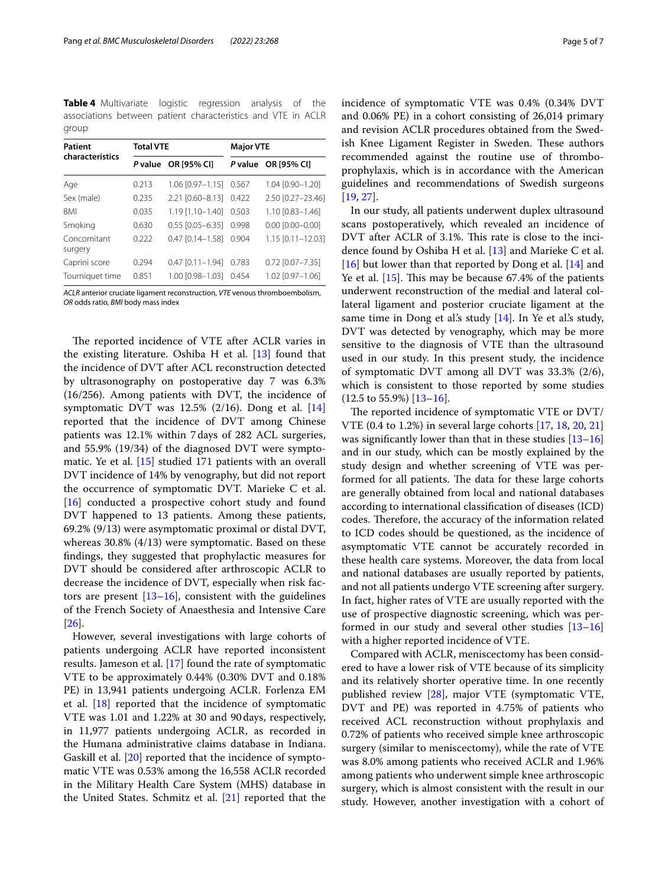<span id="page-4-0"></span>**Table 4** Multivariate logistic regression analysis of the associations between patient characteristics and VTE in ACLR group

| <b>Patient</b><br>characteristics | <b>Total VTE</b> |                        | <b>Major VTE</b> |                         |  |
|-----------------------------------|------------------|------------------------|------------------|-------------------------|--|
|                                   |                  | P value OR [95% CI]    | P value          | OR [95% CI]             |  |
| Age                               | 0.213            | $1.06$ $[0.97 - 1.15]$ | 0.567            | 1.04 [0.90-1.20]        |  |
| Sex (male)                        | 0.235            | 2.21 [0.60-8.13]       | 0.422            | 2.50 [0.27-23.46]       |  |
| <b>BMI</b>                        | 0.035            | $1.19$ [1.10-1.40]     | 0.503            | $1.10$ $[0.83 - 1.46]$  |  |
| Smoking                           | 0.630            | $0.55$ $[0.05 - 6.35]$ | 0.998            | $0.00$ $[0.00 - 0.00]$  |  |
| Concomitant<br>surgery            | 0.222            | $0.47$ $[0.14 - 1.58]$ | 0.904            | $1.15$ $[0.11 - 12.03]$ |  |
| Caprini score                     | 0.294            | $0.47$ $[0.11 - 1.94]$ | 0.783            | $0.72$ $[0.07 - 7.35]$  |  |
| Tourniquet time                   | 0.851            | 1.00 [0.98-1.03]       | 0.454            | 1.02 [0.97-1.06]        |  |

*ACLR* anterior cruciate ligament reconstruction, *VTE* venous thromboembolism, *OR* odds ratio, *BMI* body mass index

The reported incidence of VTE after ACLR varies in the existing literature. Oshiba H et al.  $[13]$  $[13]$  $[13]$  found that the incidence of DVT after ACL reconstruction detected by ultrasonography on postoperative day 7 was 6.3% (16/256). Among patients with DVT, the incidence of symptomatic DVT was 12.5% (2/16). Dong et al. [[14](#page-6-19)] reported that the incidence of DVT among Chinese patients was 12.1% within 7days of 282 ACL surgeries, and 55.9% (19/34) of the diagnosed DVT were symptomatic. Ye et al. [[15\]](#page-6-20) studied 171 patients with an overall DVT incidence of 14% by venography, but did not report the occurrence of symptomatic DVT. Marieke C et al. [[16\]](#page-6-13) conducted a prospective cohort study and found DVT happened to 13 patients. Among these patients, 69.2% (9/13) were asymptomatic proximal or distal DVT, whereas 30.8% (4/13) were symptomatic. Based on these fndings, they suggested that prophylactic measures for DVT should be considered after arthroscopic ACLR to decrease the incidence of DVT, especially when risk factors are present  $[13-16]$  $[13-16]$ , consistent with the guidelines of the French Society of Anaesthesia and Intensive Care [[26\]](#page-6-21).

However, several investigations with large cohorts of patients undergoing ACLR have reported inconsistent results. Jameson et al. [\[17\]](#page-6-22) found the rate of symptomatic VTE to be approximately 0.44% (0.30% DVT and 0.18% PE) in 13,941 patients undergoing ACLR. Forlenza EM et al.  $[18]$  $[18]$  reported that the incidence of symptomatic VTE was 1.01 and 1.22% at 30 and 90days, respectively, in 11,977 patients undergoing ACLR, as recorded in the Humana administrative claims database in Indiana. Gaskill et al. [\[20\]](#page-6-23) reported that the incidence of symptomatic VTE was 0.53% among the 16,558 ACLR recorded in the Military Health Care System (MHS) database in the United States. Schmitz et al. [\[21\]](#page-6-24) reported that the incidence of symptomatic VTE was 0.4% (0.34% DVT and 0.06% PE) in a cohort consisting of 26,014 primary and revision ACLR procedures obtained from the Swedish Knee Ligament Register in Sweden. These authors recommended against the routine use of thromboprophylaxis, which is in accordance with the American guidelines and recommendations of Swedish surgeons [[19,](#page-6-12) [27](#page-6-25)].

In our study, all patients underwent duplex ultrasound scans postoperatively, which revealed an incidence of DVT after ACLR of 3.1%. This rate is close to the incidence found by Oshiba H et al. [[13\]](#page-6-11) and Marieke C et al. [[16\]](#page-6-13) but lower than that reported by Dong et al. [[14](#page-6-19)] and Ye et al.  $[15]$ . This may be because 67.4% of the patients underwent reconstruction of the medial and lateral collateral ligament and posterior cruciate ligament at the same time in Dong et al's study [[14\]](#page-6-19). In Ye et al's study, DVT was detected by venography, which may be more sensitive to the diagnosis of VTE than the ultrasound used in our study. In this present study, the incidence of symptomatic DVT among all DVT was 33.3% (2/6), which is consistent to those reported by some studies  $(12.5 \text{ to } 55.9\%)$   $[13-16]$  $[13-16]$ .

The reported incidence of symptomatic VTE or DVT/ VTE (0.4 to 1.2%) in several large cohorts [\[17](#page-6-22), [18,](#page-6-14) [20,](#page-6-23) [21](#page-6-24)] was significantly lower than that in these studies [[13–](#page-6-11)[16](#page-6-13)] and in our study, which can be mostly explained by the study design and whether screening of VTE was performed for all patients. The data for these large cohorts are generally obtained from local and national databases according to international classifcation of diseases (ICD) codes. Therefore, the accuracy of the information related to ICD codes should be questioned, as the incidence of asymptomatic VTE cannot be accurately recorded in these health care systems. Moreover, the data from local and national databases are usually reported by patients, and not all patients undergo VTE screening after surgery. In fact, higher rates of VTE are usually reported with the use of prospective diagnostic screening, which was performed in our study and several other studies [[13–](#page-6-11)[16](#page-6-13)] with a higher reported incidence of VTE.

Compared with ACLR, meniscectomy has been considered to have a lower risk of VTE because of its simplicity and its relatively shorter operative time. In one recently published review [\[28\]](#page-6-26), major VTE (symptomatic VTE, DVT and PE) was reported in 4.75% of patients who received ACL reconstruction without prophylaxis and 0.72% of patients who received simple knee arthroscopic surgery (similar to meniscectomy), while the rate of VTE was 8.0% among patients who received ACLR and 1.96% among patients who underwent simple knee arthroscopic surgery, which is almost consistent with the result in our study. However, another investigation with a cohort of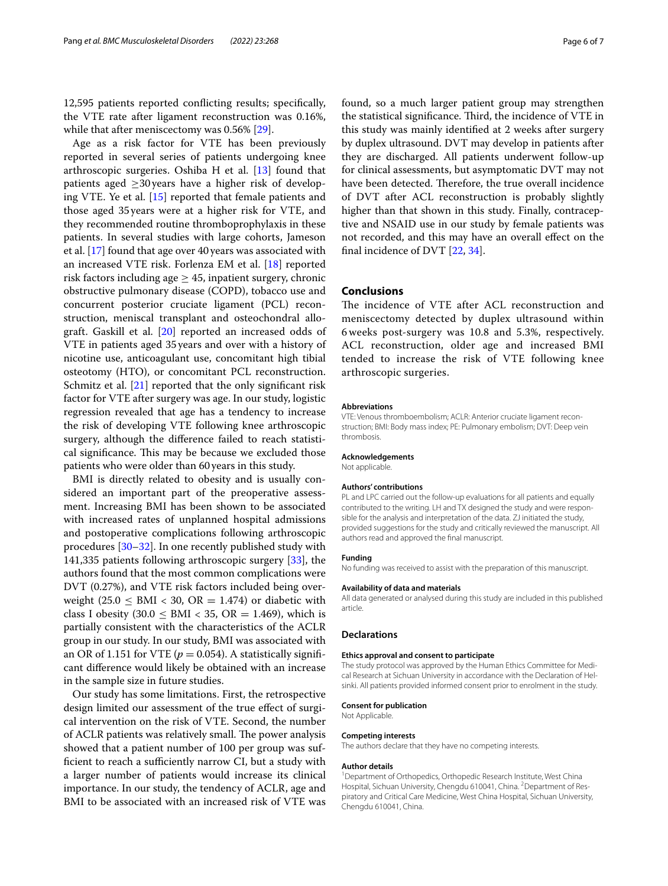12,595 patients reported conficting results; specifcally, the VTE rate after ligament reconstruction was 0.16%, while that after meniscectomy was 0.56% [\[29\]](#page-6-27).

Age as a risk factor for VTE has been previously reported in several series of patients undergoing knee arthroscopic surgeries. Oshiba H et al.  $[13]$  found that patients aged  $\geq$ 30 years have a higher risk of developing VTE. Ye et al. [[15\]](#page-6-20) reported that female patients and those aged 35years were at a higher risk for VTE, and they recommended routine thromboprophylaxis in these patients. In several studies with large cohorts, Jameson et al. [\[17\]](#page-6-22) found that age over 40 years was associated with an increased VTE risk. Forlenza EM et al. [[18](#page-6-14)] reported risk factors including age  $\geq$  45, inpatient surgery, chronic obstructive pulmonary disease (COPD), tobacco use and concurrent posterior cruciate ligament (PCL) reconstruction, meniscal transplant and osteochondral allograft. Gaskill et al. [[20\]](#page-6-23) reported an increased odds of VTE in patients aged 35 years and over with a history of nicotine use, anticoagulant use, concomitant high tibial osteotomy (HTO), or concomitant PCL reconstruction. Schmitz et al. [\[21](#page-6-24)] reported that the only significant risk factor for VTE after surgery was age. In our study, logistic regression revealed that age has a tendency to increase the risk of developing VTE following knee arthroscopic surgery, although the diference failed to reach statistical significance. This may be because we excluded those patients who were older than 60years in this study.

BMI is directly related to obesity and is usually considered an important part of the preoperative assessment. Increasing BMI has been shown to be associated with increased rates of unplanned hospital admissions and postoperative complications following arthroscopic procedures [\[30–](#page-6-28)[32\]](#page-6-29). In one recently published study with 141,335 patients following arthroscopic surgery [\[33](#page-6-30)], the authors found that the most common complications were DVT (0.27%), and VTE risk factors included being overweight (25.0  $\leq$  BMI  $<$  30, OR = 1.474) or diabetic with class I obesity (30.0  $\leq$  BMI  $<$  35, OR = 1.469), which is partially consistent with the characteristics of the ACLR group in our study. In our study, BMI was associated with an OR of 1.151 for VTE ( $p = 0.054$ ). A statistically significant diference would likely be obtained with an increase in the sample size in future studies.

Our study has some limitations. First, the retrospective design limited our assessment of the true effect of surgical intervention on the risk of VTE. Second, the number of ACLR patients was relatively small. The power analysis showed that a patient number of 100 per group was sufficient to reach a sufficiently narrow CI, but a study with a larger number of patients would increase its clinical importance. In our study, the tendency of ACLR, age and BMI to be associated with an increased risk of VTE was found, so a much larger patient group may strengthen the statistical significance. Third, the incidence of VTE in this study was mainly identifed at 2 weeks after surgery by duplex ultrasound. DVT may develop in patients after they are discharged. All patients underwent follow-up for clinical assessments, but asymptomatic DVT may not have been detected. Therefore, the true overall incidence of DVT after ACL reconstruction is probably slightly higher than that shown in this study. Finally, contraceptive and NSAID use in our study by female patients was not recorded, and this may have an overall efect on the fnal incidence of DVT [\[22](#page-6-15), [34](#page-6-31)].

#### **Conclusions**

The incidence of VTE after ACL reconstruction and meniscectomy detected by duplex ultrasound within 6 weeks post-surgery was 10.8 and 5.3%, respectively. ACL reconstruction, older age and increased BMI tended to increase the risk of VTE following knee arthroscopic surgeries.

#### **Abbreviations**

VTE: Venous thromboembolism; ACLR: Anterior cruciate ligament reconstruction; BMI: Body mass index; PE: Pulmonary embolism; DVT: Deep vein thrombosis.

#### **Acknowledgements**

Not applicable.

#### **Authors' contributions**

PL and LPC carried out the follow-up evaluations for all patients and equally contributed to the writing. LH and TX designed the study and were responsible for the analysis and interpretation of the data. ZJ initiated the study, provided suggestions for the study and critically reviewed the manuscript. All authors read and approved the fnal manuscript.

#### **Funding**

No funding was received to assist with the preparation of this manuscript.

#### **Availability of data and materials**

All data generated or analysed during this study are included in this published article.

#### **Declarations**

#### **Ethics approval and consent to participate**

The study protocol was approved by the Human Ethics Committee for Medical Research at Sichuan University in accordance with the Declaration of Helsinki. All patients provided informed consent prior to enrolment in the study.

#### **Consent for publication**

Not Applicable.

#### **Competing interests**

The authors declare that they have no competing interests.

#### **Author details**

<sup>1</sup> Department of Orthopedics, Orthopedic Research Institute, West China Hospital, Sichuan University, Chengdu 610041, China. <sup>2</sup> Department of Respiratory and Critical Care Medicine, West China Hospital, Sichuan University, Chengdu 610041, China.